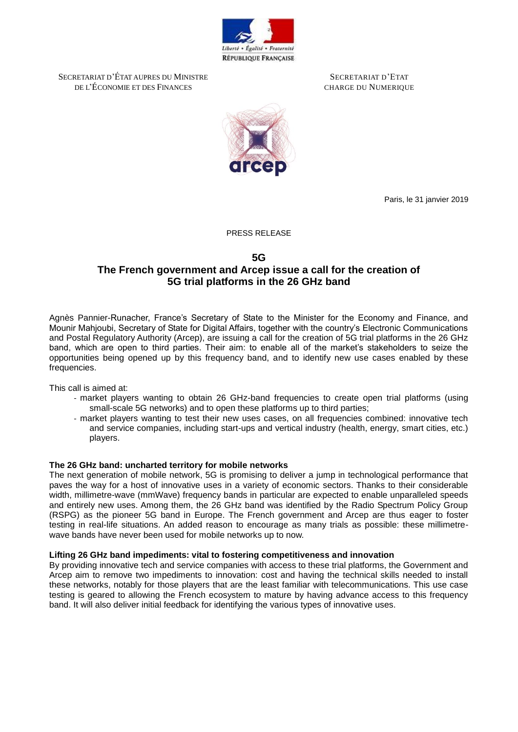

SECRETARIAT D'ÉTAT AUPRES DU MINISTRE DE L'ÉCONOMIE ET DES FINANCES

SECRETARIAT D'ETAT CHARGE DU NUMERIQUE



Paris, le 31 janvier 2019

PRESS RELEASE

## **5G The French government and Arcep issue a call for the creation of 5G trial platforms in the 26 GHz band**

Agnès Pannier-Runacher, France's Secretary of State to the Minister for the Economy and Finance, and Mounir Mahjoubi, Secretary of State for Digital Affairs, together with the country's Electronic Communications and Postal Regulatory Authority (Arcep), are issuing a call for the creation of 5G trial platforms in the 26 GHz band, which are open to third parties. Their aim: to enable all of the market's stakeholders to seize the opportunities being opened up by this frequency band, and to identify new use cases enabled by these frequencies.

This call is aimed at:

- market players wanting to obtain 26 GHz-band frequencies to create open trial platforms (using small-scale 5G networks) and to open these platforms up to third parties;
- market players wanting to test their new uses cases, on all frequencies combined: innovative tech and service companies, including start-ups and vertical industry (health, energy, smart cities, etc.) players.

## **The 26 GHz band: uncharted territory for mobile networks**

The next generation of mobile network, 5G is promising to deliver a jump in technological performance that paves the way for a host of innovative uses in a variety of economic sectors. Thanks to their considerable width, millimetre-wave (mmWave) frequency bands in particular are expected to enable unparalleled speeds and entirely new uses. Among them, the 26 GHz band was identified by the Radio Spectrum Policy Group (RSPG) as the pioneer 5G band in Europe. The French government and Arcep are thus eager to foster testing in real-life situations. An added reason to encourage as many trials as possible: these millimetrewave bands have never been used for mobile networks up to now.

#### **Lifting 26 GHz band impediments: vital to fostering competitiveness and innovation**

By providing innovative tech and service companies with access to these trial platforms, the Government and Arcep aim to remove two impediments to innovation: cost and having the technical skills needed to install these networks, notably for those players that are the least familiar with telecommunications. This use case testing is geared to allowing the French ecosystem to mature by having advance access to this frequency band. It will also deliver initial feedback for identifying the various types of innovative uses.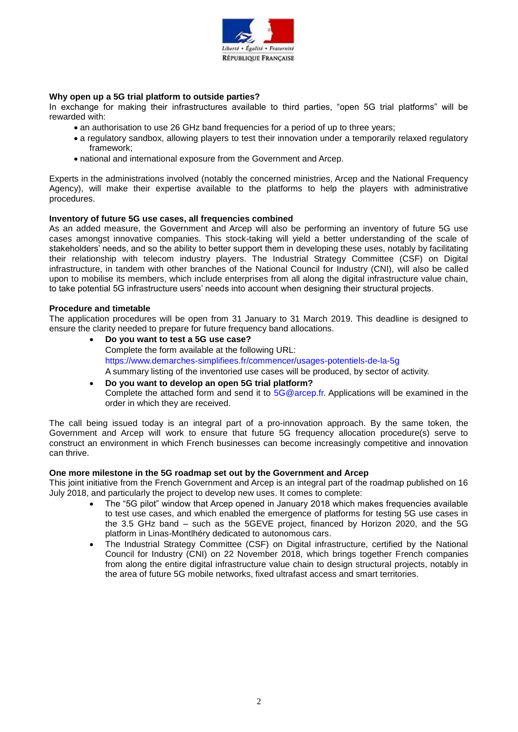

## **Why open up a 5G trial platform to outside parties?**

In exchange for making their infrastructures available to third parties, "open 5G trial platforms" will be rewarded with:

- an authorisation to use 26 GHz band frequencies for a period of up to three years;
- a regulatory sandbox, allowing players to test their innovation under a temporarily relaxed regulatory framework;
- national and international exposure from the Government and Arcep.

Experts in the administrations involved (notably the concerned ministries, Arcep and the National Frequency Agency), will make their expertise available to the platforms to help the players with administrative procedures.

### **Inventory of future 5G use cases, all frequencies combined**

As an added measure, the Government and Arcep will also be performing an inventory of future 5G use cases amongst innovative companies. This stock-taking will yield a better understanding of the scale of stakeholders' needs, and so the ability to better support them in developing these uses, notably by facilitating their relationship with telecom industry players. The Industrial Strategy Committee (CSF) on Digital infrastructure, in tandem with other branches of the National Council for Industry (CNI), will also be called upon to mobilise its members, which include enterprises from all along the digital infrastructure value chain, to take potential 5G infrastructure users' needs into account when designing their structural projects.

#### **Procedure and timetable**

The application procedures will be open from 31 January to 31 March 2019. This deadline is designed to ensure the clarity needed to prepare for future frequency band allocations.

- **Do you want to test a 5G use case?**  Complete the form available at the following URL: <https://www.demarches-simplifiees.fr/commencer/usages-potentiels-de-la-5g> A summary listing of the inventoried use cases will be produced, by sector of activity.
- **Do you want to develop an open 5G trial platform?**  Complete the attached form and send it to [5G@arcep.fr.](mailto:5G@arcep.fr) Applications will be examined in the order in which they are received.

The call being issued today is an integral part of a pro-innovation approach. By the same token, the Government and Arcep will work to ensure that future 5G frequency allocation procedure(s) serve to construct an environment in which French businesses can become increasingly competitive and innovation can thrive.

#### **One more milestone in the 5G roadmap set out by the Government and Arcep**

This joint initiative from the French Government and Arcep is an integral part of the roadmap published on 16 July 2018, and particularly the project to develop new uses. It comes to complete:

- The "5G pilot" window that Arcep opened in January 2018 which makes frequencies available to test use cases, and which enabled the emergence of platforms for testing 5G use cases in the 3.5 GHz band – such as the 5GEVE project, financed by Horizon 2020, and the 5G platform in Linas-Montlhéry dedicated to autonomous cars.
- The Industrial Strategy Committee (CSF) on Digital infrastructure, certified by the National Council for Industry (CNI) on 22 November 2018, which brings together French companies from along the entire digital infrastructure value chain to design structural projects, notably in the area of future 5G mobile networks, fixed ultrafast access and smart territories.